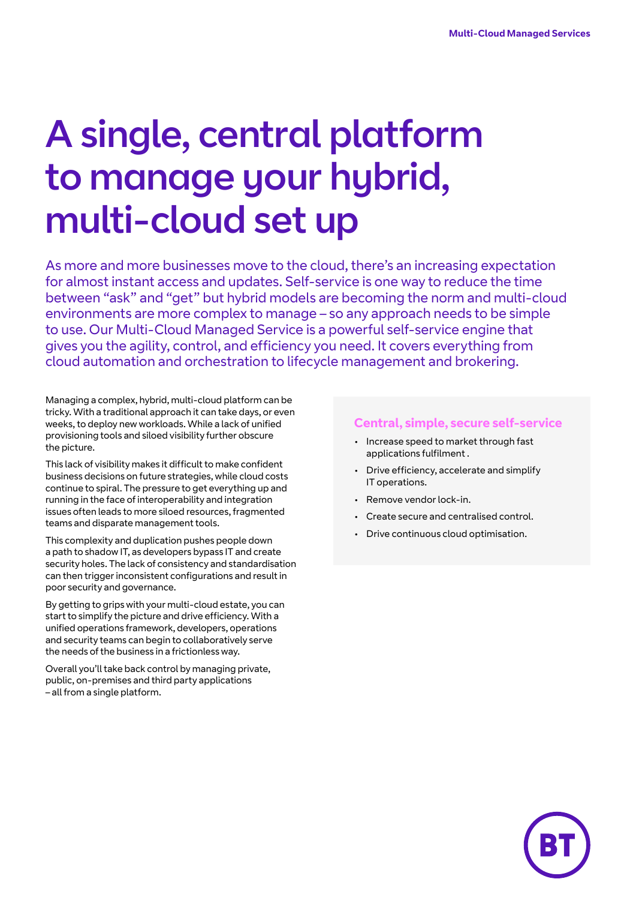# A single, central platform to manage your hybrid, multi-cloud set up

As more and more businesses move to the cloud, there's an increasing expectation for almost instant access and updates. Self-service is one way to reduce the time between "ask" and "get" but hybrid models are becoming the norm and multi-cloud environments are more complex to manage – so any approach needs to be simple to use. Our Multi-Cloud Managed Service is a powerful self-service engine that gives you the agility, control, and efficiency you need. It covers everything from cloud automation and orchestration to lifecycle management and brokering.

Managing a complex, hybrid, multi-cloud platform can be tricky. With a traditional approach it can take days, or even weeks, to deploy new workloads. While a lack of unified provisioning tools and siloed visibility further obscure the picture.

This lack of visibility makes it difficult to make confident business decisions on future strategies, while cloud costs continue to spiral. The pressure to get everything up and running in the face of interoperability and integration issues often leads to more siloed resources, fragmented teams and disparate management tools.

This complexity and duplication pushes people down a path to shadow IT, as developers bypass IT and create security holes. The lack of consistency and standardisation can then trigger inconsistent configurations and result in poor security and governance.

By getting to grips with your multi-cloud estate, you can start to simplify the picture and drive efficiency. With a unified operations framework, developers, operations and security teams can begin to collaboratively serve the needs of the business in a frictionless way.

Overall you'll take back control by managing private, public, on-premises and third party applications – all from a single platform.

#### **Central, simple, secure self-service**

- Increase speed to market through fast applications fulfilment .
- Drive efficiency, accelerate and simplify IT operations.
- Remove vendor lock-in.
- Create secure and centralised control.
- Drive continuous cloud optimisation.